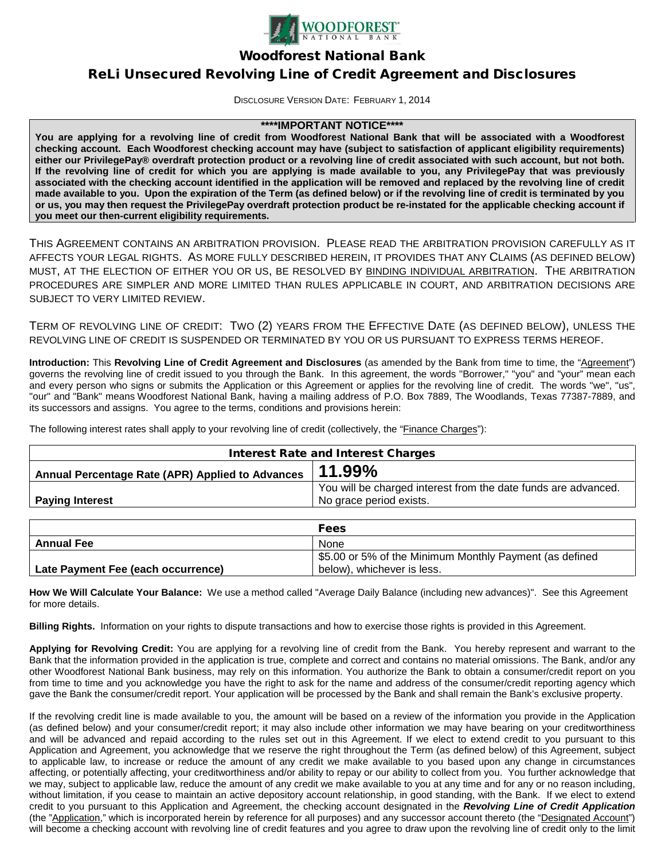

Woodforest National Bank

# ReLi Unsecured Revolving Line of Credit Agreement and Disclosures

DISCLOSURE VERSION DATE: FEBRUARY 1, 2014

## **\*\*\*\*IMPORTANT NOTICE\*\*\*\***

**You are applying for a revolving line of credit from Woodforest National Bank that will be associated with a Woodforest checking account. Each Woodforest checking account may have (subject to satisfaction of applicant eligibility requirements) either our PrivilegePay® overdraft protection product or a revolving line of credit associated with such account, but not both. If the revolving line of credit for which you are applying is made available to you, any PrivilegePay that was previously associated with the checking account identified in the application will be removed and replaced by the revolving line of credit made available to you. Upon the expiration of the Term (as defined below) or if the revolving line of credit is terminated by you or us, you may then request the PrivilegePay overdraft protection product be re-instated for the applicable checking account if you meet our then-current eligibility requirements.**

THIS AGREEMENT CONTAINS AN ARBITRATION PROVISION. PLEASE READ THE ARBITRATION PROVISION CAREFULLY AS IT AFFECTS YOUR LEGAL RIGHTS. AS MORE FULLY DESCRIBED HEREIN, IT PROVIDES THAT ANY CLAIMS (AS DEFINED BELOW) MUST, AT THE ELECTION OF EITHER YOU OR US, BE RESOLVED BY BINDING INDIVIDUAL ARBITRATION. THE ARBITRATION PROCEDURES ARE SIMPLER AND MORE LIMITED THAN RULES APPLICABLE IN COURT, AND ARBITRATION DECISIONS ARE SUBJECT TO VERY LIMITED REVIEW.

TERM OF REVOLVING LINE OF CREDIT: TWO (2) YEARS FROM THE EFFECTIVE DATE (AS DEFINED BELOW), UNLESS THE REVOLVING LINE OF CREDIT IS SUSPENDED OR TERMINATED BY YOU OR US PURSUANT TO EXPRESS TERMS HEREOF.

**Introduction:** This **Revolving Line of Credit Agreement and Disclosures** (as amended by the Bank from time to time, the "Agreement") governs the revolving line of credit issued to you through the Bank. In this agreement, the words "Borrower," "you" and "your" mean each and every person who signs or submits the Application or this Agreement or applies for the revolving line of credit. The words "we", "us", "our" and "Bank" means Woodforest National Bank, having a mailing address of P.O. Box 7889, The Woodlands, Texas 77387-7889, and its successors and assigns. You agree to the terms, conditions and provisions herein:

The following interest rates shall apply to your revolving line of credit (collectively, the "Finance Charges"):

| <b>Interest Rate and Interest Charges</b>        |                                                                |
|--------------------------------------------------|----------------------------------------------------------------|
| Annual Percentage Rate (APR) Applied to Advances | 11.99%                                                         |
|                                                  | You will be charged interest from the date funds are advanced. |
| <b>Paying Interest</b>                           | No grace period exists.                                        |

|                                    | <b>Fees</b>                                             |
|------------------------------------|---------------------------------------------------------|
| <b>Annual Fee</b>                  | <b>None</b>                                             |
|                                    | \$5.00 or 5% of the Minimum Monthly Payment (as defined |
| Late Payment Fee (each occurrence) | below), whichever is less.                              |

**How We Will Calculate Your Balance:** We use a method called "Average Daily Balance (including new advances)". See this Agreement for more details.

**Billing Rights.** Information on your rights to dispute transactions and how to exercise those rights is provided in this Agreement.

**Applying for Revolving Credit:** You are applying for a revolving line of credit from the Bank. You hereby represent and warrant to the Bank that the information provided in the application is true, complete and correct and contains no material omissions. The Bank, and/or any other Woodforest National Bank business, may rely on this information. You authorize the Bank to obtain a consumer/credit report on you from time to time and you acknowledge you have the right to ask for the name and address of the consumer/credit reporting agency which gave the Bank the consumer/credit report. Your application will be processed by the Bank and shall remain the Bank's exclusive property.

If the revolving credit line is made available to you, the amount will be based on a review of the information you provide in the Application (as defined below) and your consumer/credit report; it may also include other information we may have bearing on your creditworthiness and will be advanced and repaid according to the rules set out in this Agreement. If we elect to extend credit to you pursuant to this Application and Agreement, you acknowledge that we reserve the right throughout the Term (as defined below) of this Agreement, subject to applicable law, to increase or reduce the amount of any credit we make available to you based upon any change in circumstances affecting, or potentially affecting, your creditworthiness and/or ability to repay or our ability to collect from you. You further acknowledge that we may, subject to applicable law, reduce the amount of any credit we make available to you at any time and for any or no reason including, without limitation, if you cease to maintain an active depository account relationship, in good standing, with the Bank. If we elect to extend credit to you pursuant to this Application and Agreement, the checking account designated in the *Revolving Line of Credit Application* (the "Application," which is incorporated herein by reference for all purposes) and any successor account thereto (the "Designated Account") will become a checking account with revolving line of credit features and you agree to draw upon the revolving line of credit only to the limit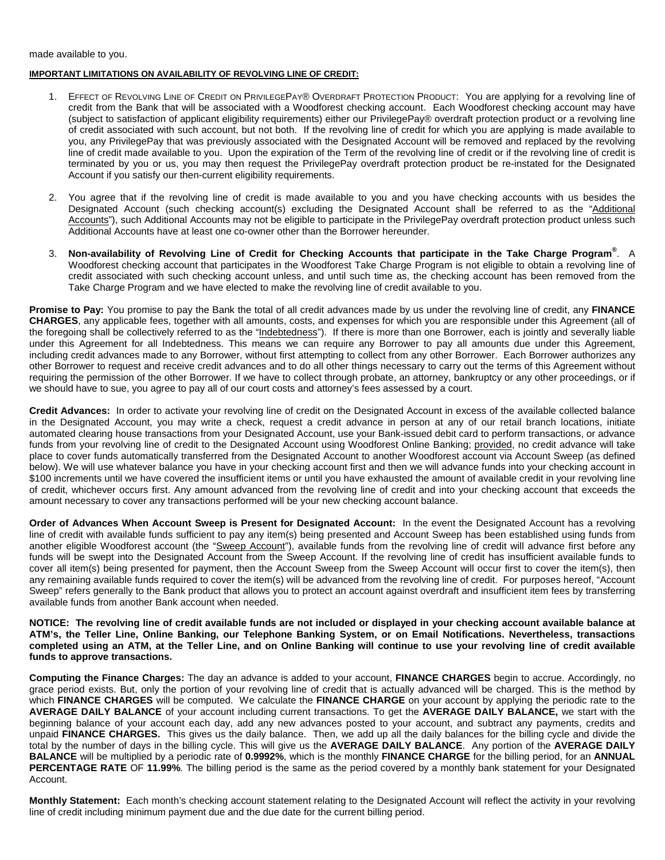made available to you.

#### **IMPORTANT LIMITATIONS ON AVAILABILITY OF REVOLVING LINE OF CREDIT:**

- 1. EFFECT OF REVOLVING LINE OF CREDIT ON PRIVILEGEPAY® OVERDRAFT PROTECTION PRODUCT: You are applying for a revolving line of credit from the Bank that will be associated with a Woodforest checking account. Each Woodforest checking account may have (subject to satisfaction of applicant eligibility requirements) either our PrivilegePay® overdraft protection product or a revolving line of credit associated with such account, but not both. If the revolving line of credit for which you are applying is made available to you, any PrivilegePay that was previously associated with the Designated Account will be removed and replaced by the revolving line of credit made available to you. Upon the expiration of the Term of the revolving line of credit or if the revolving line of credit is terminated by you or us, you may then request the PrivilegePay overdraft protection product be re-instated for the Designated Account if you satisfy our then-current eligibility requirements.
- 2. You agree that if the revolving line of credit is made available to you and you have checking accounts with us besides the Designated Account (such checking account(s) excluding the Designated Account shall be referred to as the "Additional Accounts"), such Additional Accounts may not be eligible to participate in the PrivilegePay overdraft protection product unless such Additional Accounts have at least one co-owner other than the Borrower hereunder.
- 3. **Non-availability of Revolving Line of Credit for Checking Accounts that participate in the Take Charge Program®** . A Woodforest checking account that participates in the Woodforest Take Charge Program is not eligible to obtain a revolving line of credit associated with such checking account unless, and until such time as, the checking account has been removed from the Take Charge Program and we have elected to make the revolving line of credit available to you.

**Promise to Pay:** You promise to pay the Bank the total of all credit advances made by us under the revolving line of credit, any **FINANCE CHARGES**, any applicable fees, together with all amounts, costs, and expenses for which you are responsible under this Agreement (all of the foregoing shall be collectively referred to as the "Indebtedness"). If there is more than one Borrower, each is jointly and severally liable under this Agreement for all Indebtedness. This means we can require any Borrower to pay all amounts due under this Agreement, including credit advances made to any Borrower, without first attempting to collect from any other Borrower. Each Borrower authorizes any other Borrower to request and receive credit advances and to do all other things necessary to carry out the terms of this Agreement without requiring the permission of the other Borrower. If we have to collect through probate, an attorney, bankruptcy or any other proceedings, or if we should have to sue, you agree to pay all of our court costs and attorney's fees assessed by a court.

**Credit Advances:** In order to activate your revolving line of credit on the Designated Account in excess of the available collected balance in the Designated Account, you may write a check, request a credit advance in person at any of our retail branch locations, initiate automated clearing house transactions from your Designated Account, use your Bank-issued debit card to perform transactions, or advance funds from your revolving line of credit to the Designated Account using Woodforest Online Banking; provided, no credit advance will take place to cover funds automatically transferred from the Designated Account to another Woodforest account via Account Sweep (as defined below). We will use whatever balance you have in your checking account first and then we will advance funds into your checking account in \$100 increments until we have covered the insufficient items or until you have exhausted the amount of available credit in your revolving line of credit, whichever occurs first. Any amount advanced from the revolving line of credit and into your checking account that exceeds the amount necessary to cover any transactions performed will be your new checking account balance.

**Order of Advances When Account Sweep is Present for Designated Account:** In the event the Designated Account has a revolving line of credit with available funds sufficient to pay any item(s) being presented and Account Sweep has been established using funds from another eligible Woodforest account (the "Sweep Account"), available funds from the revolving line of credit will advance first before any funds will be swept into the Designated Account from the Sweep Account. If the revolving line of credit has insufficient available funds to cover all item(s) being presented for payment, then the Account Sweep from the Sweep Account will occur first to cover the item(s), then any remaining available funds required to cover the item(s) will be advanced from the revolving line of credit. For purposes hereof, "Account Sweep" refers generally to the Bank product that allows you to protect an account against overdraft and insufficient item fees by transferring available funds from another Bank account when needed.

**NOTICE: The revolving line of credit available funds are not included or displayed in your checking account available balance at ATM's, the Teller Line, Online Banking, our Telephone Banking System, or on Email Notifications. Nevertheless, transactions completed using an ATM, at the Teller Line, and on Online Banking will continue to use your revolving line of credit available funds to approve transactions.**

**Computing the Finance Charges:** The day an advance is added to your account, **FINANCE CHARGES** begin to accrue. Accordingly, no grace period exists. But, only the portion of your revolving line of credit that is actually advanced will be charged. This is the method by which **FINANCE CHARGES** will be computed. We calculate the **FINANCE CHARGE** on your account by applying the periodic rate to the **AVERAGE DAILY BALANCE** of your account including current transactions. To get the **AVERAGE DAILY BALANCE,** we start with the beginning balance of your account each day, add any new advances posted to your account, and subtract any payments, credits and unpaid **FINANCE CHARGES.** This gives us the daily balance. Then, we add up all the daily balances for the billing cycle and divide the total by the number of days in the billing cycle. This will give us the **AVERAGE DAILY BALANCE**. Any portion of the **AVERAGE DAILY BALANCE** will be multiplied by a periodic rate of **0.9992%**, which is the monthly **FINANCE CHARGE** for the billing period, for an **ANNUAL PERCENTAGE RATE** OF **11.99%**. The billing period is the same as the period covered by a monthly bank statement for your Designated Account.

**Monthly Statement:** Each month's checking account statement relating to the Designated Account will reflect the activity in your revolving line of credit including minimum payment due and the due date for the current billing period.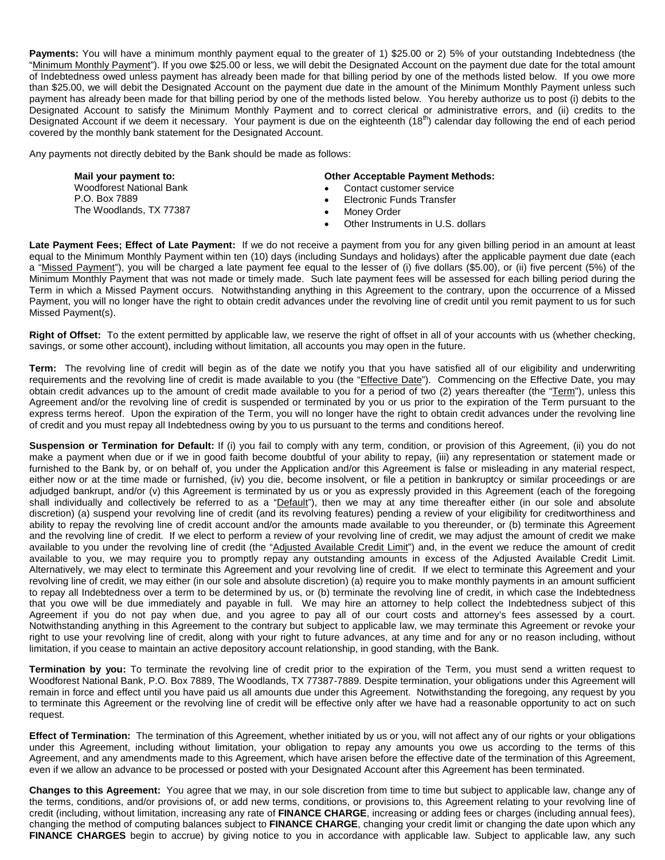**Payments:** You will have a minimum monthly payment equal to the greater of 1) \$25.00 or 2) 5% of your outstanding Indebtedness (the "Minimum Monthly Payment"). If you owe \$25.00 or less, we will debit the Designated Account on the payment due date for the total amount of Indebtedness owed unless payment has already been made for that billing period by one of the methods listed below. If you owe more than \$25.00, we will debit the Designated Account on the payment due date in the amount of the Minimum Monthly Payment unless such payment has already been made for that billing period by one of the methods listed below. You hereby authorize us to post (i) debits to the Designated Account to satisfy the Minimum Monthly Payment and to correct clerical or administrative errors, and (ii) credits to the Designated Account if we deem it necessary. Your payment is due on the eighteenth  $(18<sup>th</sup>)$  calendar day following the end of each period covered by the monthly bank statement for the Designated Account.

Any payments not directly debited by the Bank should be made as follows:

**Mail your payment to:** Woodforest National Bank P.O. Box 7889 The Woodlands, TX 77387

#### **Other Acceptable Payment Methods:**

- Contact customer service
- Electronic Funds Transfer
- Money Order
- Other Instruments in U.S. dollars

**Late Payment Fees; Effect of Late Payment:** If we do not receive a payment from you for any given billing period in an amount at least equal to the Minimum Monthly Payment within ten (10) days (including Sundays and holidays) after the applicable payment due date (each a "Missed Payment"), you will be charged a late payment fee equal to the lesser of (i) five dollars (\$5.00), or (ii) five percent (5%) of the Minimum Monthly Payment that was not made or timely made. Such late payment fees will be assessed for each billing period during the Term in which a Missed Payment occurs. Notwithstanding anything in this Agreement to the contrary, upon the occurrence of a Missed Payment, you will no longer have the right to obtain credit advances under the revolving line of credit until you remit payment to us for such Missed Payment(s).

**Right of Offset:** To the extent permitted by applicable law, we reserve the right of offset in all of your accounts with us (whether checking, savings, or some other account), including without limitation, all accounts you may open in the future.

**Term:** The revolving line of credit will begin as of the date we notify you that you have satisfied all of our eligibility and underwriting requirements and the revolving line of credit is made available to you (the "Effective Date"). Commencing on the Effective Date, you may obtain credit advances up to the amount of credit made available to you for a period of two (2) years thereafter (the "Term"), unless this Agreement and/or the revolving line of credit is suspended or terminated by you or us prior to the expiration of the Term pursuant to the express terms hereof. Upon the expiration of the Term, you will no longer have the right to obtain credit advances under the revolving line of credit and you must repay all Indebtedness owing by you to us pursuant to the terms and conditions hereof.

**Suspension or Termination for Default:** If (i) you fail to comply with any term, condition, or provision of this Agreement, (ii) you do not make a payment when due or if we in good faith become doubtful of your ability to repay, (iii) any representation or statement made or furnished to the Bank by, or on behalf of, you under the Application and/or this Agreement is false or misleading in any material respect, either now or at the time made or furnished, (iv) you die, become insolvent, or file a petition in bankruptcy or similar proceedings or are adjudged bankrupt, and/or (v) this Agreement is terminated by us or you as expressly provided in this Agreement (each of the foregoing shall individually and collectively be referred to as a "Default"), then we may at any time thereafter either (in our sole and absolute discretion) (a) suspend your revolving line of credit (and its revolving features) pending a review of your eligibility for creditworthiness and ability to repay the revolving line of credit account and/or the amounts made available to you thereunder, or (b) terminate this Agreement and the revolving line of credit. If we elect to perform a review of your revolving line of credit, we may adjust the amount of credit we make available to you under the revolving line of credit (the "Adjusted Available Credit Limit") and, in the event we reduce the amount of credit available to you, we may require you to promptly repay any outstanding amounts in excess of the Adjusted Available Credit Limit. Alternatively, we may elect to terminate this Agreement and your revolving line of credit. If we elect to terminate this Agreement and your revolving line of credit, we may either (in our sole and absolute discretion) (a) require you to make monthly payments in an amount sufficient to repay all Indebtedness over a term to be determined by us, or (b) terminate the revolving line of credit, in which case the Indebtedness that you owe will be due immediately and payable in full. We may hire an attorney to help collect the Indebtedness subject of this Agreement if you do not pay when due, and you agree to pay all of our court costs and attorney's fees assessed by a court. Notwithstanding anything in this Agreement to the contrary but subject to applicable law, we may terminate this Agreement or revoke your right to use your revolving line of credit, along with your right to future advances, at any time and for any or no reason including, without limitation, if you cease to maintain an active depository account relationship, in good standing, with the Bank.

**Termination by you:** To terminate the revolving line of credit prior to the expiration of the Term, you must send a written request to Woodforest National Bank, P.O. Box 7889, The Woodlands, TX 77387-7889. Despite termination, your obligations under this Agreement will remain in force and effect until you have paid us all amounts due under this Agreement. Notwithstanding the foregoing, any request by you to terminate this Agreement or the revolving line of credit will be effective only after we have had a reasonable opportunity to act on such request.

**Effect of Termination:** The termination of this Agreement, whether initiated by us or you, will not affect any of our rights or your obligations under this Agreement, including without limitation, your obligation to repay any amounts you owe us according to the terms of this Agreement, and any amendments made to this Agreement, which have arisen before the effective date of the termination of this Agreement, even if we allow an advance to be processed or posted with your Designated Account after this Agreement has been terminated.

**Changes to this Agreement:** You agree that we may, in our sole discretion from time to time but subject to applicable law, change any of the terms, conditions, and/or provisions of, or add new terms, conditions, or provisions to, this Agreement relating to your revolving line of credit (including, without limitation, increasing any rate of **FINANCE CHARGE**, increasing or adding fees or charges (including annual fees), changing the method of computing balances subject to **FINANCE CHARGE**, changing your credit limit or changing the date upon which any FINANCE CHARGES begin to accrue) by giving notice to you in accordance with applicable law. Subject to applicable law, any such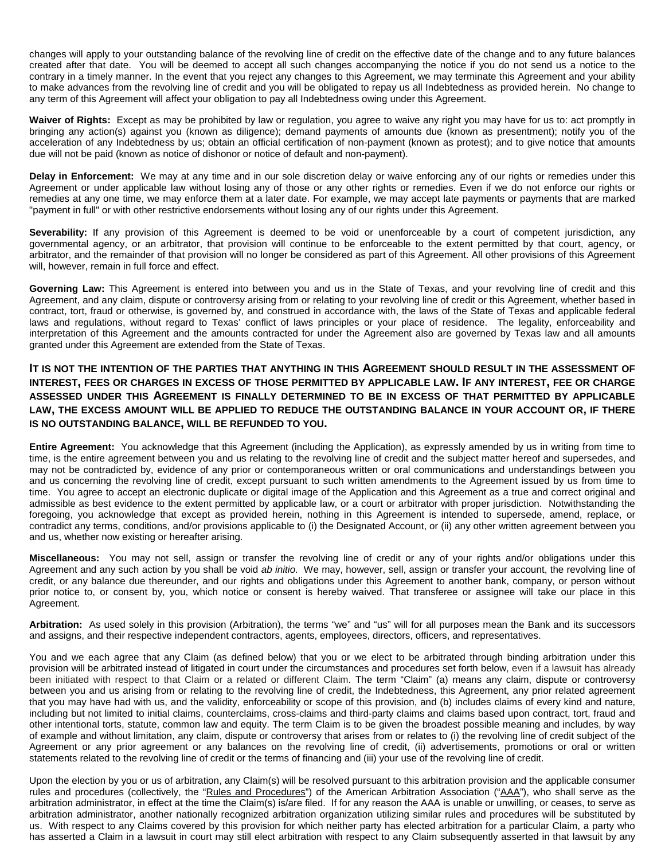changes will apply to your outstanding balance of the revolving line of credit on the effective date of the change and to any future balances created after that date. You will be deemed to accept all such changes accompanying the notice if you do not send us a notice to the contrary in a timely manner. In the event that you reject any changes to this Agreement, we may terminate this Agreement and your ability to make advances from the revolving line of credit and you will be obligated to repay us all Indebtedness as provided herein. No change to any term of this Agreement will affect your obligation to pay all Indebtedness owing under this Agreement.

**Waiver of Rights:** Except as may be prohibited by law or regulation, you agree to waive any right you may have for us to: act promptly in bringing any action(s) against you (known as diligence); demand payments of amounts due (known as presentment); notify you of the acceleration of any Indebtedness by us; obtain an official certification of non-payment (known as protest); and to give notice that amounts due will not be paid (known as notice of dishonor or notice of default and non-payment).

**Delay in Enforcement:** We may at any time and in our sole discretion delay or waive enforcing any of our rights or remedies under this Agreement or under applicable law without losing any of those or any other rights or remedies. Even if we do not enforce our rights or remedies at any one time, we may enforce them at a later date. For example, we may accept late payments or payments that are marked "payment in full" or with other restrictive endorsements without losing any of our rights under this Agreement.

Severability: If any provision of this Agreement is deemed to be void or unenforceable by a court of competent jurisdiction, any governmental agency, or an arbitrator, that provision will continue to be enforceable to the extent permitted by that court, agency, or arbitrator, and the remainder of that provision will no longer be considered as part of this Agreement. All other provisions of this Agreement will, however, remain in full force and effect.

**Governing Law:** This Agreement is entered into between you and us in the State of Texas, and your revolving line of credit and this Agreement, and any claim, dispute or controversy arising from or relating to your revolving line of credit or this Agreement, whether based in contract, tort, fraud or otherwise, is governed by, and construed in accordance with, the laws of the State of Texas and applicable federal laws and regulations, without regard to Texas' conflict of laws principles or your place of residence. The legality, enforceability and interpretation of this Agreement and the amounts contracted for under the Agreement also are governed by Texas law and all amounts granted under this Agreement are extended from the State of Texas.

## **IT IS NOT THE INTENTION OF THE PARTIES THAT ANYTHING IN THIS AGREEMENT SHOULD RESULT IN THE ASSESSMENT OF INTEREST, FEES OR CHARGES IN EXCESS OF THOSE PERMITTED BY APPLICABLE LAW. IF ANY INTEREST, FEE OR CHARGE ASSESSED UNDER THIS AGREEMENT IS FINALLY DETERMINED TO BE IN EXCESS OF THAT PERMITTED BY APPLICABLE LAW, THE EXCESS AMOUNT WILL BE APPLIED TO REDUCE THE OUTSTANDING BALANCE IN YOUR ACCOUNT OR, IF THERE IS NO OUTSTANDING BALANCE, WILL BE REFUNDED TO YOU.**

**Entire Agreement:** You acknowledge that this Agreement (including the Application), as expressly amended by us in writing from time to time, is the entire agreement between you and us relating to the revolving line of credit and the subject matter hereof and supersedes, and may not be contradicted by, evidence of any prior or contemporaneous written or oral communications and understandings between you and us concerning the revolving line of credit, except pursuant to such written amendments to the Agreement issued by us from time to time. You agree to accept an electronic duplicate or digital image of the Application and this Agreement as a true and correct original and admissible as best evidence to the extent permitted by applicable law, or a court or arbitrator with proper jurisdiction. Notwithstanding the foregoing, you acknowledge that except as provided herein, nothing in this Agreement is intended to supersede, amend, replace, or contradict any terms, conditions, and/or provisions applicable to (i) the Designated Account, or (ii) any other written agreement between you and us, whether now existing or hereafter arising.

**Miscellaneous:** You may not sell, assign or transfer the revolving line of credit or any of your rights and/or obligations under this Agreement and any such action by you shall be void *ab initio*. We may, however, sell, assign or transfer your account, the revolving line of credit, or any balance due thereunder, and our rights and obligations under this Agreement to another bank, company, or person without prior notice to, or consent by, you, which notice or consent is hereby waived. That transferee or assignee will take our place in this Agreement.

**Arbitration:** As used solely in this provision (Arbitration), the terms "we" and "us" will for all purposes mean the Bank and its successors and assigns, and their respective independent contractors, agents, employees, directors, officers, and representatives.

You and we each agree that any Claim (as defined below) that you or we elect to be arbitrated through binding arbitration under this provision will be arbitrated instead of litigated in court under the circumstances and procedures set forth below, even if a lawsuit has already been initiated with respect to that Claim or a related or different Claim. The term "Claim" (a) means any claim, dispute or controversy between you and us arising from or relating to the revolving line of credit, the Indebtedness, this Agreement, any prior related agreement that you may have had with us, and the validity, enforceability or scope of this provision, and (b) includes claims of every kind and nature, including but not limited to initial claims, counterclaims, cross-claims and third-party claims and claims based upon contract, tort, fraud and other intentional torts, statute, common law and equity. The term Claim is to be given the broadest possible meaning and includes, by way of example and without limitation, any claim, dispute or controversy that arises from or relates to (i) the revolving line of credit subject of the Agreement or any prior agreement or any balances on the revolving line of credit, (ii) advertisements, promotions or oral or written statements related to the revolving line of credit or the terms of financing and (iii) your use of the revolving line of credit.

Upon the election by you or us of arbitration, any Claim(s) will be resolved pursuant to this arbitration provision and the applicable consumer rules and procedures (collectively, the "Rules and Procedures") of the American Arbitration Association ("AAA"), who shall serve as the arbitration administrator, in effect at the time the Claim(s) is/are filed. If for any reason the AAA is unable or unwilling, or ceases, to serve as arbitration administrator, another nationally recognized arbitration organization utilizing similar rules and procedures will be substituted by us. With respect to any Claims covered by this provision for which neither party has elected arbitration for a particular Claim, a party who has asserted a Claim in a lawsuit in court may still elect arbitration with respect to any Claim subsequently asserted in that lawsuit by any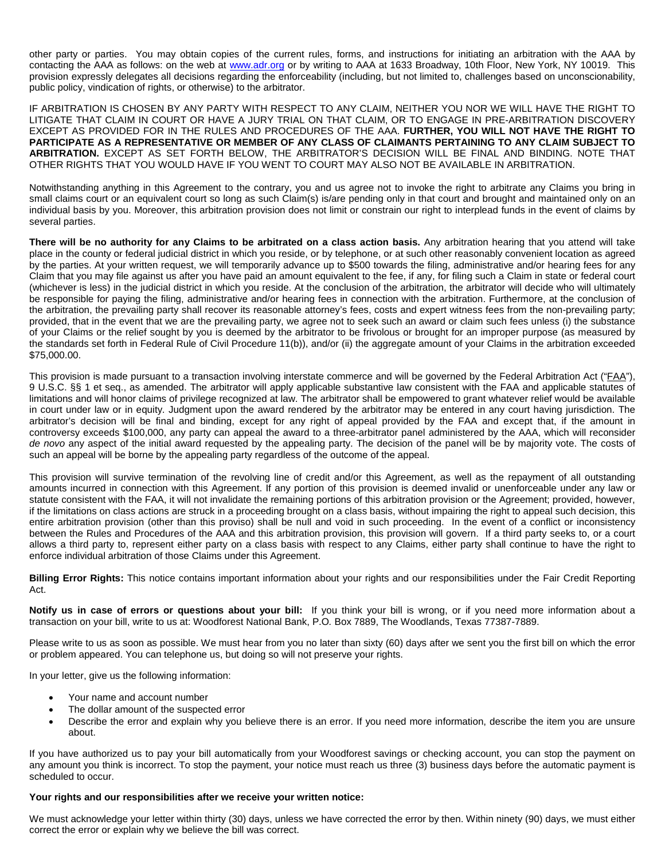other party or parties. You may obtain copies of the current rules, forms, and instructions for initiating an arbitration with the AAA by contacting the AAA as follows: on the web at www.adr.org or by writing to AAA at 1633 Broadway, 10th Floor, New York, NY 10019. This provision expressly delegates all decisions regarding the enforceability (including, but not limited to, challenges based on unconscionability, public policy, vindication of rights, or otherwise) to the arbitrator.

IF ARBITRATION IS CHOSEN BY ANY PARTY WITH RESPECT TO ANY CLAIM, NEITHER YOU NOR WE WILL HAVE THE RIGHT TO LITIGATE THAT CLAIM IN COURT OR HAVE A JURY TRIAL ON THAT CLAIM, OR TO ENGAGE IN PRE-ARBITRATION DISCOVERY EXCEPT AS PROVIDED FOR IN THE RULES AND PROCEDURES OF THE AAA. **FURTHER, YOU WILL NOT HAVE THE RIGHT TO PARTICIPATE AS A REPRESENTATIVE OR MEMBER OF ANY CLASS OF CLAIMANTS PERTAINING TO ANY CLAIM SUBJECT TO ARBITRATION.** EXCEPT AS SET FORTH BELOW, THE ARBITRATOR'S DECISION WILL BE FINAL AND BINDING. NOTE THAT OTHER RIGHTS THAT YOU WOULD HAVE IF YOU WENT TO COURT MAY ALSO NOT BE AVAILABLE IN ARBITRATION.

Notwithstanding anything in this Agreement to the contrary, you and us agree not to invoke the right to arbitrate any Claims you bring in small claims court or an equivalent court so long as such Claim(s) is/are pending only in that court and brought and maintained only on an individual basis by you. Moreover, this arbitration provision does not limit or constrain our right to interplead funds in the event of claims by several parties.

**There will be no authority for any Claims to be arbitrated on a class action basis.** Any arbitration hearing that you attend will take place in the county or federal judicial district in which you reside, or by telephone, or at such other reasonably convenient location as agreed by the parties. At your written request, we will temporarily advance up to \$500 towards the filing, administrative and/or hearing fees for any Claim that you may file against us after you have paid an amount equivalent to the fee, if any, for filing such a Claim in state or federal court (whichever is less) in the judicial district in which you reside. At the conclusion of the arbitration, the arbitrator will decide who will ultimately be responsible for paying the filing, administrative and/or hearing fees in connection with the arbitration. Furthermore, at the conclusion of the arbitration, the prevailing party shall recover its reasonable attorney's fees, costs and expert witness fees from the non-prevailing party; provided, that in the event that we are the prevailing party, we agree not to seek such an award or claim such fees unless (i) the substance of your Claims or the relief sought by you is deemed by the arbitrator to be frivolous or brought for an improper purpose (as measured by the standards set forth in Federal Rule of Civil Procedure 11(b)), and/or (ii) the aggregate amount of your Claims in the arbitration exceeded \$75,000.00.

This provision is made pursuant to a transaction involving interstate commerce and will be governed by the Federal Arbitration Act ("FAA"), 9 U.S.C. §§ 1 et seq., as amended. The arbitrator will apply applicable substantive law consistent with the FAA and applicable statutes of limitations and will honor claims of privilege recognized at law. The arbitrator shall be empowered to grant whatever relief would be available in court under law or in equity. Judgment upon the award rendered by the arbitrator may be entered in any court having jurisdiction. The arbitrator's decision will be final and binding, except for any right of appeal provided by the FAA and except that, if the amount in controversy exceeds \$100,000, any party can appeal the award to a three-arbitrator panel administered by the AAA, which will reconsider *de novo* any aspect of the initial award requested by the appealing party. The decision of the panel will be by majority vote. The costs of such an appeal will be borne by the appealing party regardless of the outcome of the appeal.

This provision will survive termination of the revolving line of credit and/or this Agreement, as well as the repayment of all outstanding amounts incurred in connection with this Agreement. If any portion of this provision is deemed invalid or unenforceable under any law or statute consistent with the FAA, it will not invalidate the remaining portions of this arbitration provision or the Agreement; provided, however, if the limitations on class actions are struck in a proceeding brought on a class basis, without impairing the right to appeal such decision, this entire arbitration provision (other than this proviso) shall be null and void in such proceeding. In the event of a conflict or inconsistency between the Rules and Procedures of the AAA and this arbitration provision, this provision will govern. If a third party seeks to, or a court allows a third party to, represent either party on a class basis with respect to any Claims, either party shall continue to have the right to enforce individual arbitration of those Claims under this Agreement.

**Billing Error Rights:** This notice contains important information about your rights and our responsibilities under the Fair Credit Reporting Act.

**Notify us in case of errors or questions about your bill:** If you think your bill is wrong, or if you need more information about a transaction on your bill, write to us at: Woodforest National Bank, P.O*.* Box 7889, The Woodlands, Texas 77387-7889.

Please write to us as soon as possible. We must hear from you no later than sixty (60) days after we sent you the first bill on which the error or problem appeared. You can telephone us, but doing so will not preserve your rights.

In your letter, give us the following information:

- Your name and account number
- The dollar amount of the suspected error
- Describe the error and explain why you believe there is an error. If you need more information, describe the item you are unsure about.

If you have authorized us to pay your bill automatically from your Woodforest savings or checking account, you can stop the payment on any amount you think is incorrect. To stop the payment, your notice must reach us three (3) business days before the automatic payment is scheduled to occur.

### **Your rights and our responsibilities after we receive your written notice:**

We must acknowledge your letter within thirty (30) days, unless we have corrected the error by then. Within ninety (90) days, we must either correct the error or explain why we believe the bill was correct.